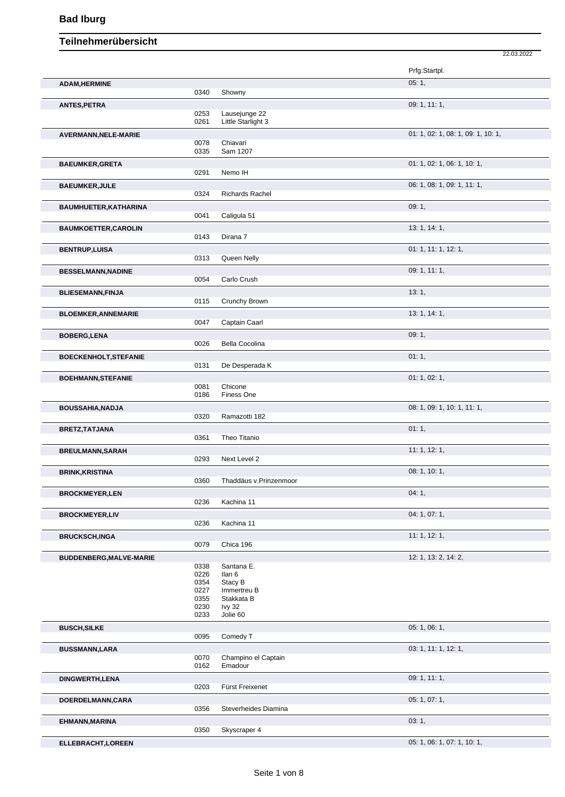|                              |              |                        | 22.03.2022                         |
|------------------------------|--------------|------------------------|------------------------------------|
|                              |              |                        | Prfg:Startpl.                      |
| <b>ADAM, HERMINE</b>         | 0340         | Showny                 | 05:1,                              |
|                              |              |                        | 09: 1, 11: 1,                      |
| <b>ANTES, PETRA</b>          | 0253         | Lausejunge 22          |                                    |
|                              | 0261         | Little Starlight 3     |                                    |
| AVERMANN, NELE-MARIE         |              |                        | 01: 1, 02: 1, 08: 1, 09: 1, 10: 1, |
|                              | 0078<br>0335 | Chiavari<br>Sam 1207   |                                    |
|                              |              |                        | 01: 1, 02: 1, 06: 1, 10: 1,        |
| <b>BAEUMKER, GRETA</b>       | 0291         | Nemo IH                |                                    |
| <b>BAEUMKER, JULE</b>        |              |                        | 06: 1, 08: 1, 09: 1, 11: 1,        |
|                              | 0324         | <b>Richards Rachel</b> |                                    |
| BAUMHUETER, KATHARINA        |              |                        | 09:1,                              |
|                              | 0041         | Caligula 51            |                                    |
| <b>BAUMKOETTER, CAROLIN</b>  |              |                        | 13: 1, 14: 1,                      |
|                              | 0143         | Dirana 7               |                                    |
| <b>BENTRUP, LUISA</b>        |              |                        | 01: 1, 11: 1, 12: 1,               |
|                              | 0313         | Queen Nelly            |                                    |
| <b>BESSELMANN, NADINE</b>    | 0054         | Carlo Crush            | 09: 1, 11: 1,                      |
| <b>BLIESEMANN, FINJA</b>     |              |                        | 13:1,                              |
|                              | 0115         | Crunchy Brown          |                                    |
| <b>BLOEMKER, ANNEMARIE</b>   |              |                        | 13: 1, 14: 1,                      |
|                              | 0047         | Captain Caarl          |                                    |
| <b>BOBERG,LENA</b>           |              |                        | 09:1,                              |
|                              | 0026         | Bella Cocolina         |                                    |
| <b>BOECKENHOLT, STEFANIE</b> |              |                        | 01:1,                              |
|                              | 0131         | De Desperada K         |                                    |
| <b>BOEHMANN, STEFANIE</b>    |              |                        | 01: 1, 02: 1,                      |
|                              | 0081<br>0186 | Chicone<br>Finess One  |                                    |
| <b>BOUSSAHIA, NADJA</b>      |              |                        | 08: 1, 09: 1, 10: 1, 11: 1,        |
|                              | 0320         | Ramazotti 182          |                                    |
| BRETZ, TATJANA               |              |                        | 01:1,                              |
|                              | 0361         | Theo Titanio           |                                    |
| <b>BREULMANN, SARAH</b>      |              |                        | 11:1, 12:1,                        |
|                              | 0293         | Next Level 2           |                                    |
| <b>BRINK, KRISTINA</b>       |              |                        | 08: 1, 10: 1,                      |
|                              | 0360         | Thaddäus v.Prinzenmoor |                                    |
| <b>BROCKMEYER,LEN</b>        | 0236         | Kachina 11             | 04:1,                              |
|                              |              |                        | 04: 1, 07: 1,                      |
| <b>BROCKMEYER,LIV</b>        | 0236         | Kachina 11             |                                    |
| <b>BRUCKSCH,INGA</b>         |              |                        | 11: 1, 12: 1,                      |
|                              | 0079         | Chica 196              |                                    |
| BUDDENBERG, MALVE-MARIE      |              |                        | 12: 1, 13: 2, 14: 2,               |
|                              | 0338         | Santana E.             |                                    |
|                              | 0226<br>0354 | llan 6<br>Stacy B      |                                    |
|                              | 0227         | Immertreu B            |                                    |
|                              | 0355         | Stakkata B             |                                    |
|                              | 0230         | lvy 32                 |                                    |
|                              | 0233         | Jolie 60               |                                    |
| <b>BUSCH, SILKE</b>          | 0095         | Comedy T               | 05: 1, 06: 1,                      |
|                              |              |                        | 03: 1, 11: 1, 12: 1,               |
| <b>BUSSMANN,LARA</b>         | 0070         | Champino el Captain    |                                    |
|                              | 0162         | Emadour                |                                    |
| <b>DINGWERTH, LENA</b>       |              |                        | 09: 1, 11: 1,                      |
|                              | 0203         | Fürst Freixenet        |                                    |
| DOERDELMANN, CARA            |              |                        | 05: 1, 07: 1,                      |
|                              | 0356         | Steverheides Diamina   |                                    |
| EHMANN, MARINA               |              |                        | 03:1,                              |
|                              | 0350         | Skyscraper 4           |                                    |
| ELLEBRACHT, LOREEN           |              |                        | 05: 1, 06: 1, 07: 1, 10: 1,        |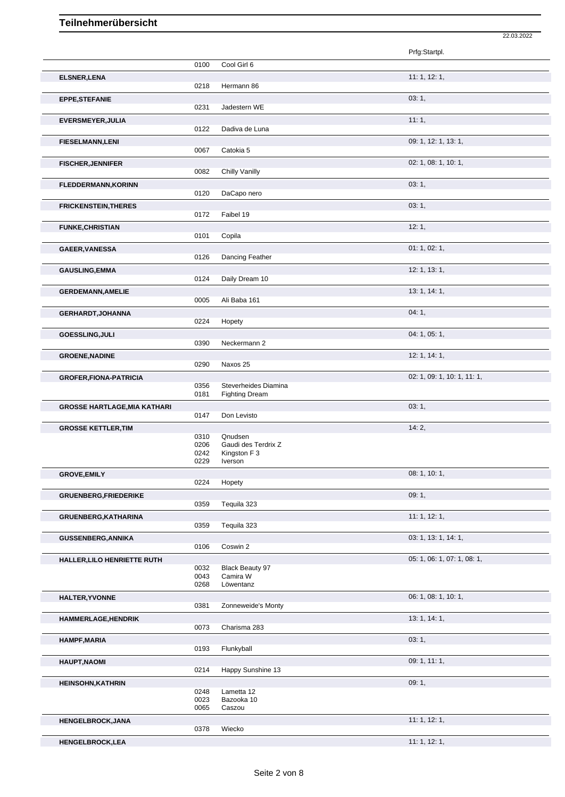|                                     |              |                                               | Prfg:Startpl.               |
|-------------------------------------|--------------|-----------------------------------------------|-----------------------------|
|                                     | 0100         | Cool Girl 6                                   |                             |
| <b>ELSNER, LENA</b>                 | 0218         | Hermann 86                                    | 11:1, 12:1,                 |
| <b>EPPE,STEFANIE</b>                | 0231         | Jadestern WE                                  | 03:1,                       |
| EVERSMEYER, JULIA                   |              |                                               | 11:1,                       |
|                                     | 0122         | Dadiva de Luna                                |                             |
| <b>FIESELMANN,LENI</b>              | 0067         | Catokia 5                                     | 09: 1, 12: 1, 13: 1,        |
| <b>FISCHER, JENNIFER</b>            |              |                                               | 02: 1, 08: 1, 10: 1,        |
|                                     | 0082         | Chilly Vanilly                                |                             |
| <b>FLEDDERMANN, KORINN</b>          | 0120         | DaCapo nero                                   | 03:1,                       |
| <b>FRICKENSTEIN, THERES</b>         |              |                                               | 03:1,                       |
|                                     | 0172         | Faibel 19                                     |                             |
| <b>FUNKE, CHRISTIAN</b>             |              |                                               | 12:1,                       |
|                                     | 0101         | Copila                                        |                             |
| GAEER, VANESSA                      | 0126         | Dancing Feather                               | 01: 1, 02: 1,               |
| <b>GAUSLING, EMMA</b>               |              |                                               | 12: 1, 13: 1,               |
|                                     | 0124         | Daily Dream 10                                |                             |
| <b>GERDEMANN, AMELIE</b>            | 0005         | Ali Baba 161                                  | 13: 1, 14: 1,               |
| <b>GERHARDT, JOHANNA</b>            |              |                                               | 04:1,                       |
|                                     | 0224         | Hopety                                        |                             |
| GOESSLING, JULI                     | 0390         | Neckermann 2                                  | 04: 1, 05: 1,               |
| <b>GROENE, NADINE</b>               |              |                                               | 12: 1, 14: 1,               |
|                                     | 0290         | Naxos 25                                      |                             |
| <b>GROFER, FIONA-PATRICIA</b>       |              |                                               | 02: 1, 09: 1, 10: 1, 11: 1, |
|                                     | 0356<br>0181 | Steverheides Diamina<br><b>Fighting Dream</b> |                             |
| <b>GROSSE HARTLAGE, MIA KATHARI</b> |              |                                               | 03:1,                       |
|                                     | 0147         | Don Levisto                                   |                             |
| <b>GROSSE KETTLER, TIM</b>          | 0310         | Qnudsen                                       | 14:2,                       |
|                                     | 0206<br>0242 | Gaudi des Terdrix Z<br>Kingston F 3           |                             |
|                                     | 0229         | Iverson                                       |                             |
| <b>GROVE, EMILY</b>                 |              |                                               | 08: 1, 10: 1,               |
|                                     | 0224         | Hopety                                        |                             |
| <b>GRUENBERG,FRIEDERIKE</b>         | 0359         | Tequila 323                                   | 09:1,                       |
| GRUENBERG, KATHARINA                |              |                                               | 11: 1, 12: 1,               |
|                                     | 0359         | Tequila 323                                   |                             |
| <b>GUSSENBERG, ANNIKA</b>           | 0106         | Coswin 2                                      | 03: 1, 13: 1, 14: 1,        |
| HALLER, LILO HENRIETTE RUTH         |              |                                               | 05: 1, 06: 1, 07: 1, 08: 1, |
|                                     | 0032         | Black Beauty 97                               |                             |
|                                     | 0043<br>0268 | Camira W<br>Löwentanz                         |                             |
| <b>HALTER, YVONNE</b>               |              |                                               | 06: 1, 08: 1, 10: 1,        |
|                                     | 0381         | Zonneweide's Monty                            |                             |
| <b>HAMMERLAGE, HENDRIK</b>          | 0073         | Charisma 283                                  | 13: 1, 14: 1,               |
| <b>HAMPF, MARIA</b>                 |              |                                               | 03:1,                       |
|                                     | 0193         | Flunkyball                                    |                             |
| <b>HAUPT, NAOMI</b>                 | 0214         | Happy Sunshine 13                             | 09: 1, 11: 1,               |
| <b>HEINSOHN, KATHRIN</b>            |              |                                               | 09:1,                       |
|                                     | 0248         | Lametta 12                                    |                             |
|                                     | 0023<br>0065 | Bazooka 10<br>Caszou                          |                             |
| HENGELBROCK, JANA                   |              |                                               | 11: 1, 12: 1,               |
|                                     | 0378         | Wiecko                                        |                             |

**HENGELBROCK,LEA** 11: 1, 12: 1,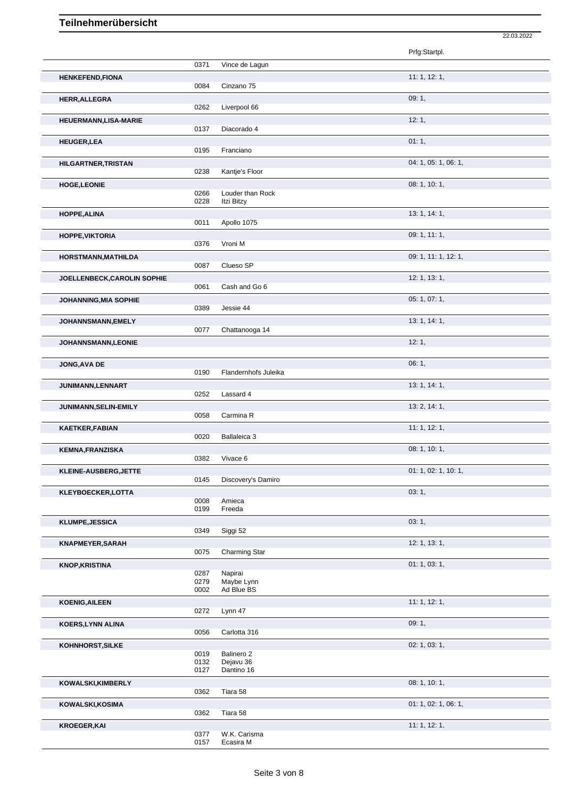|                                    |              |                           | Prfg:Startpl.        |
|------------------------------------|--------------|---------------------------|----------------------|
|                                    | 0371         | Vince de Lagun            |                      |
| <b>HENKEFEND,FIONA</b>             |              |                           | 11:1, 12:1,          |
|                                    | 0084         | Cinzano 75                |                      |
| <b>HERR, ALLEGRA</b>               |              |                           | 09:1,                |
|                                    | 0262         | Liverpool 66              | 12:1,                |
| HEUERMANN, LISA-MARIE              | 0137         | Diacorado 4               |                      |
| <b>HEUGER,LEA</b>                  |              |                           | 01:1,                |
|                                    | 0195         | Franciano                 |                      |
| <b>HILGARTNER, TRISTAN</b>         |              |                           | 04: 1, 05: 1, 06: 1, |
|                                    | 0238         | Kantje's Floor            | 08: 1, 10: 1,        |
| <b>HOGE,LEONIE</b>                 | 0266         | Louder than Rock          |                      |
|                                    | 0228         | Itzi Bitzy                |                      |
| HOPPE, ALINA                       | 0011         | Apollo 1075               | 13: 1, 14: 1,        |
| <b>HOPPE, VIKTORIA</b>             |              |                           | 09: 1, 11: 1,        |
|                                    | 0376         | Vroni M                   |                      |
| HORSTMANN, MATHILDA                |              |                           | 09: 1, 11: 1, 12: 1, |
|                                    | 0087         | Clueso SP                 |                      |
| <b>JOELLENBECK, CAROLIN SOPHIE</b> | 0061         | Cash and Go 6             | 12: 1, 13: 1,        |
| JOHANNING, MIA SOPHIE              |              |                           | 05: 1, 07: 1,        |
|                                    | 0389         | Jessie 44                 |                      |
| <b>JOHANNSMANN,EMELY</b>           |              |                           | 13: 1, 14: 1,        |
|                                    | 0077         | Chattanooga 14            |                      |
| <b>JOHANNSMANN,LEONIE</b>          |              |                           | 12:1,                |
| JONG, AVA DE                       |              |                           | 06:1,                |
|                                    | 0190         | Flandernhofs Juleika      |                      |
| JUNIMANN, LENNART                  |              |                           | 13: 1, 14: 1,        |
|                                    | 0252         | Lassard 4                 |                      |
| JUNIMANN, SELIN-EMILY              | 0058         | Carmina R                 | 13: 2, 14: 1,        |
| KAETKER,FABIAN                     |              |                           | 11: 1, 12: 1,        |
|                                    | 0020         | Ballaleica 3              |                      |
| <b>KEMNA, FRANZISKA</b>            |              |                           | 08: 1, 10: 1,        |
|                                    | 0382         | Vivace 6                  |                      |
| KLEINE-AUSBERG, JETTE              | 0145         | Discovery's Damiro        | 01: 1, 02: 1, 10: 1, |
| KLEYBOECKER, LOTTA                 |              |                           | 03:1,                |
|                                    | 0008         | Amieca                    |                      |
|                                    | 0199         | Freeda                    |                      |
| <b>KLUMPE, JESSICA</b>             | 0349         | Siggi 52                  | 03:1,                |
| KNAPMEYER, SARAH                   |              |                           | 12: 1, 13: 1,        |
|                                    | 0075         | Charming Star             |                      |
| <b>KNOP, KRISTINA</b>              | 0287         | Napirai                   | 01: 1, 03: 1,        |
|                                    | 0279         | Maybe Lynn                |                      |
|                                    | 0002         | Ad Blue BS                |                      |
| <b>KOENIG, AILEEN</b>              | 0272         | Lynn 47                   | 11:1, 12:1,          |
| KOERS, LYNN ALINA                  |              |                           | 09:1,                |
|                                    | 0056         | Carlotta 316              |                      |
| KOHNHORST, SILKE                   |              |                           | 02: 1, 03: 1,        |
|                                    | 0019<br>0132 | Balinero 2<br>Dejavu 36   |                      |
|                                    | 0127         | Dantino 16                |                      |
| KOWALSKI, KIMBERLY                 |              |                           | 08: 1, 10: 1,        |
|                                    | 0362         | Tiara 58                  |                      |
| KOWALSKI, KOSIMA                   | 0362         | Tiara 58                  | 01: 1, 02: 1, 06: 1, |
| <b>KROEGER, KAI</b>                |              |                           | 11:1, 12:1,          |
|                                    | 0377<br>0157 | W.K. Carisma<br>Ecasira M |                      |
|                                    |              |                           |                      |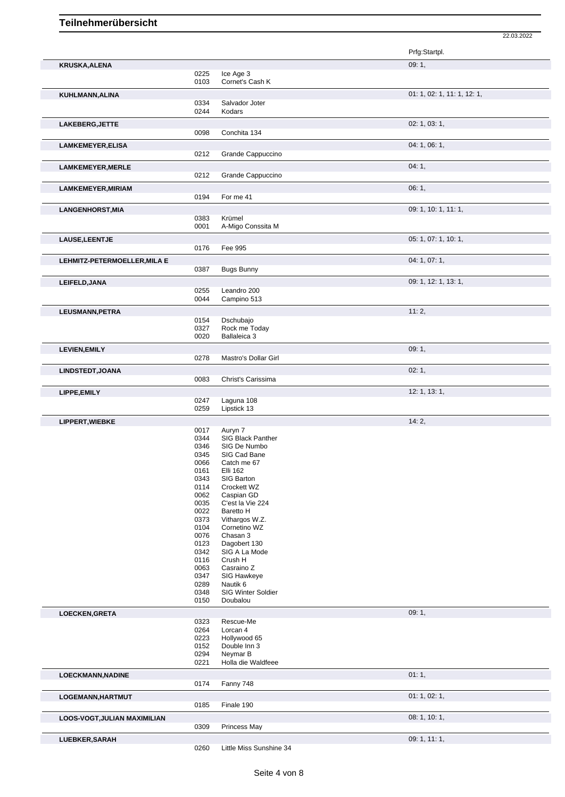| KRUSKA, ALENA                |      |                         | 09:1,                       |
|------------------------------|------|-------------------------|-----------------------------|
|                              | 0225 | Ice Age 3               |                             |
|                              | 0103 | Cornet's Cash K         |                             |
|                              |      |                         |                             |
| KUHLMANN, ALINA              |      |                         | 01: 1, 02: 1, 11: 1, 12: 1, |
|                              | 0334 | Salvador Joter          |                             |
|                              | 0244 | Kodars                  |                             |
|                              |      |                         |                             |
| LAKEBERG, JETTE              |      |                         | 02: 1, 03: 1,               |
|                              | 0098 | Conchita 134            |                             |
|                              |      |                         | 04: 1, 06: 1,               |
| <b>LAMKEMEYER, ELISA</b>     |      |                         |                             |
|                              | 0212 | Grande Cappuccino       |                             |
| <b>LAMKEMEYER, MERLE</b>     |      |                         | 04:1,                       |
|                              | 0212 | Grande Cappuccino       |                             |
|                              |      |                         |                             |
| <b>LAMKEMEYER, MIRIAM</b>    |      |                         | 06:1,                       |
|                              | 0194 | For me 41               |                             |
|                              |      |                         | 09: 1, 10: 1, 11: 1,        |
| <b>LANGENHORST, MIA</b>      |      |                         |                             |
|                              | 0383 | Krümel                  |                             |
|                              | 0001 | A-Migo Conssita M       |                             |
| LAUSE, LEENTJE               |      |                         | 05: 1, 07: 1, 10: 1,        |
|                              | 0176 | Fee 995                 |                             |
|                              |      |                         |                             |
| LEHMITZ-PETERMOELLER, MILA E |      |                         | 04: 1, 07: 1,               |
|                              | 0387 | <b>Bugs Bunny</b>       |                             |
|                              |      |                         |                             |
| LEIFELD, JANA                |      |                         | 09: 1, 12: 1, 13: 1,        |
|                              | 0255 | Leandro 200             |                             |
|                              | 0044 | Campino 513             |                             |
|                              |      |                         | 11:2,                       |
| LEUSMANN, PETRA              |      |                         |                             |
|                              | 0154 | Dschubajo               |                             |
|                              | 0327 | Rock me Today           |                             |
|                              | 0020 | Ballaleica 3            |                             |
| <b>LEVIEN, EMILY</b>         |      |                         | 09:1,                       |
|                              | 0278 | Mastro's Dollar Girl    |                             |
|                              |      |                         |                             |
| LINDSTEDT, JOANA             |      |                         | 02:1,                       |
|                              | 0083 | Christ's Carissima      |                             |
|                              |      |                         |                             |
| LIPPE, EMILY                 |      |                         | 12: 1, 13: 1,               |
|                              | 0247 | Laguna 108              |                             |
|                              | 0259 | Lipstick 13             |                             |
| LIPPERT, WIEBKE              |      |                         | 14:2,                       |
|                              | 0017 | Auryn 7                 |                             |
|                              | 0344 | SIG Black Panther       |                             |
|                              | 0346 | SIG De Numbo            |                             |
|                              | 0345 | SIG Cad Bane            |                             |
|                              | 0066 | Catch me 67             |                             |
|                              | 0161 | <b>Elli 162</b>         |                             |
|                              | 0343 | SIG Barton              |                             |
|                              |      | Crockett WZ             |                             |
|                              | 0114 |                         |                             |
|                              | 0062 | Caspian GD              |                             |
|                              | 0035 | C'est la Vie 224        |                             |
|                              | 0022 | Baretto H               |                             |
|                              | 0373 | Vithargos W.Z.          |                             |
|                              | 0104 | Cornetino WZ            |                             |
|                              | 0076 | Chasan 3                |                             |
|                              | 0123 | Dagobert 130            |                             |
|                              | 0342 | SIG A La Mode           |                             |
|                              | 0116 | Crush H                 |                             |
|                              | 0063 | Casraino Z              |                             |
|                              | 0347 | SIG Hawkeye             |                             |
|                              | 0289 | Nautik 6                |                             |
|                              | 0348 | SIG Winter Soldier      |                             |
|                              | 0150 | Doubalou                |                             |
|                              |      |                         |                             |
| LOECKEN, GRETA               |      |                         | 09:1,                       |
|                              | 0323 | Rescue-Me               |                             |
|                              | 0264 | Lorcan 4                |                             |
|                              | 0223 | Hollywood 65            |                             |
|                              | 0152 | Double Inn 3            |                             |
|                              | 0294 | Neymar B                |                             |
|                              | 0221 | Holla die Waldfeee      |                             |
| LOECKMANN, NADINE            |      |                         | 01:1,                       |
|                              | 0174 | Fanny 748               |                             |
|                              |      |                         |                             |
|                              |      |                         |                             |
| LOGEMANN, HARTMUT            |      |                         | 01: 1, 02: 1,               |
|                              | 0185 | Finale 190              |                             |
|                              |      |                         |                             |
| LOOS-VOGT, JULIAN MAXIMILIAN |      |                         | 08: 1, 10: 1,               |
|                              | 0309 | Princess May            |                             |
|                              |      |                         |                             |
| LUEBKER, SARAH               | 0260 | Little Miss Sunshine 34 | 09: 1, 11: 1,               |

22.03.2022

Prfg:Startpl.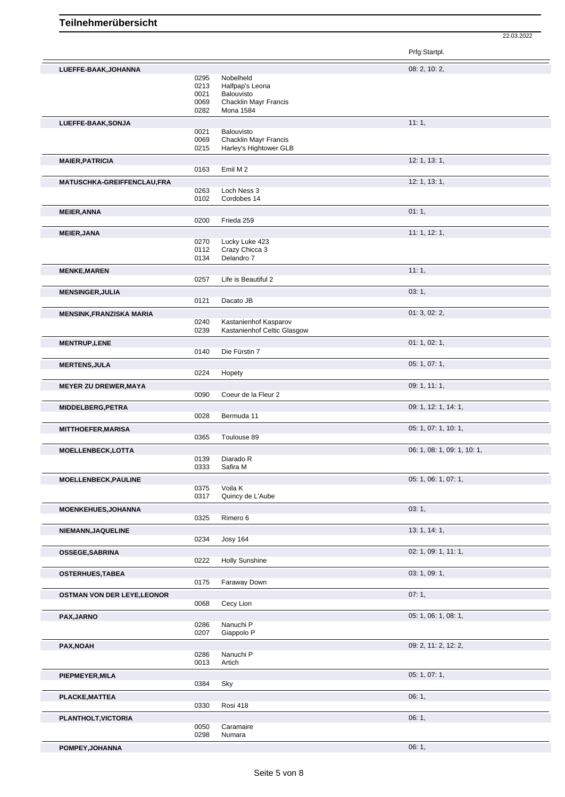|                                                               |                                      |                                                                                         | Prfg:Startpl.               |
|---------------------------------------------------------------|--------------------------------------|-----------------------------------------------------------------------------------------|-----------------------------|
| LUEFFE-BAAK, JOHANNA                                          | 0295<br>0213<br>0021<br>0069<br>0282 | Nobelheld<br>Halfpap's Leona<br>Balouvisto<br>Chacklin Mayr Francis<br><b>Mona 1584</b> | 08: 2, 10: 2,               |
| LUEFFE-BAAK, SONJA                                            | 0021<br>0069<br>0215                 | Balouvisto<br>Chacklin Mayr Francis<br>Harley's Hightower GLB                           | 11:1,                       |
| <b>MAIER, PATRICIA</b>                                        | 0163                                 | Emil M2                                                                                 | 12: 1, 13: 1,               |
| MATUSCHKA-GREIFFENCLAU,FRA                                    | 0263<br>0102                         | Loch Ness 3<br>Cordobes 14                                                              | 12: 1, 13: 1,               |
| <b>MEIER, ANNA</b>                                            | 0200                                 | Frieda 259                                                                              | 01:1,                       |
| <b>MEIER, JANA</b>                                            | 0270<br>0112<br>0134                 | Lucky Luke 423<br>Crazy Chicca 3<br>Delandro 7                                          | 11:1, 12:1,                 |
| <b>MENKE, MAREN</b>                                           | 0257                                 | Life is Beautiful 2                                                                     | 11:1,                       |
| <b>MENSINGER, JULIA</b>                                       | 0121                                 | Dacato JB                                                                               | 03:1,                       |
| <b>MENSINK, FRANZISKA MARIA</b>                               | 0240<br>0239                         | Kastanienhof Kasparov<br>Kastanienhof Celtic Glasgow                                    | 01:3,02:2,                  |
| <b>MENTRUP,LENE</b>                                           | 0140                                 | Die Fürstin 7                                                                           | 01: 1, 02: 1,               |
| <b>MERTENS, JULA</b>                                          | 0224                                 | Hopety                                                                                  | 05: 1, 07: 1,               |
| <b>MEYER ZU DREWER, MAYA</b>                                  | 0090                                 | Coeur de la Fleur 2                                                                     | 09: 1, 11: 1,               |
| MIDDELBERG, PETRA                                             | 0028                                 | Bermuda 11                                                                              | 09: 1, 12: 1, 14: 1,        |
| <b>MITTHOEFER, MARISA</b>                                     | 0365                                 | Toulouse 89                                                                             | 05: 1, 07: 1, 10: 1,        |
| MOELLENBECK, LOTTA                                            | 0139<br>0333                         | Diarado R<br>Safira M                                                                   | 06: 1, 08: 1, 09: 1, 10: 1, |
| MOELLENBECK, PAULINE                                          | 0375<br>0317                         | Voila K<br>Quincy de L'Aube                                                             | 05: 1, 06: 1, 07: 1,        |
| MOENKEHUES, JOHANNA                                           | 0325                                 | Rimero 6                                                                                | 03:1,                       |
| NIEMANN, JAQUELINE                                            | 0234                                 | <b>Josy 164</b>                                                                         | 13: 1, 14: 1,               |
| OSSEGE, SABRINA                                               | 0222                                 | <b>Holly Sunshine</b>                                                                   | 02: 1, 09: 1, 11: 1,        |
| <b>OSTERHUES, TABEA</b><br><b>OSTMAN VON DER LEYE, LEONOR</b> | 0175                                 | Faraway Down                                                                            | 03: 1, 09: 1,<br>07:1,      |
|                                                               | 0068                                 | Cecy Lion                                                                               |                             |
| PAX, JARNO                                                    | 0286<br>0207                         | Nanuchi P<br>Giappolo P                                                                 | 05: 1, 06: 1, 08: 1,        |
| PAX, NOAH                                                     | 0286<br>0013                         | Nanuchi P<br>Artich                                                                     | 09: 2, 11: 2, 12: 2,        |
| PIEPMEYER, MILA                                               | 0384                                 | Sky                                                                                     | 05: 1, 07: 1,               |
| <b>PLACKE, MATTEA</b>                                         | 0330                                 | Rosi 418                                                                                | 06: 1,                      |
| PLANTHOLT, VICTORIA                                           | 0050<br>0298                         | Caramaire<br>Numara                                                                     | 06:1,                       |
| POMPEY, JOHANNA                                               |                                      |                                                                                         | 06:1,                       |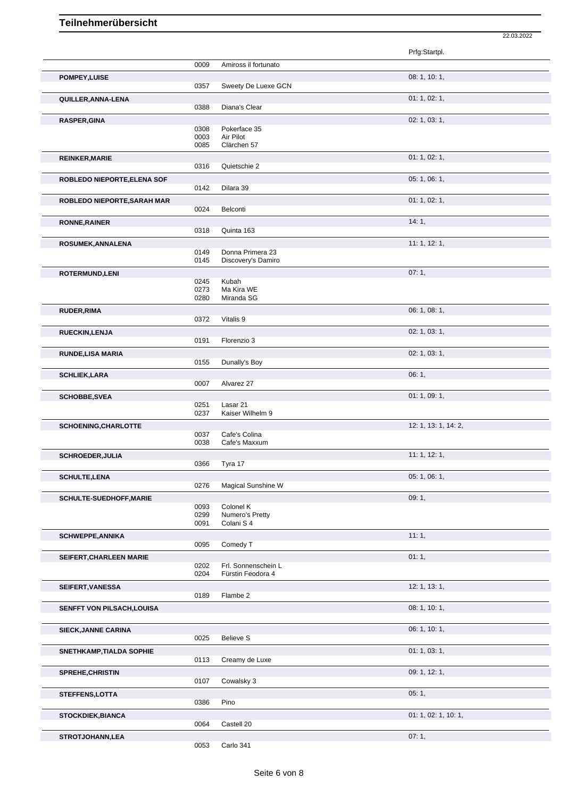|                             |              |                                        | 22.03.2022           |  |
|-----------------------------|--------------|----------------------------------------|----------------------|--|
|                             |              |                                        | Prfg:Startpl.        |  |
|                             | 0009         | Amiross il fortunato                   |                      |  |
| POMPEY, LUISE               | 0357         | Sweety De Luexe GCN                    | 08: 1, 10: 1,        |  |
| QUILLER, ANNA-LENA          | 0388         | Diana's Clear                          | 01: 1, 02: 1,        |  |
| <b>RASPER, GINA</b>         |              |                                        | 02: 1, 03: 1,        |  |
|                             | 0308<br>0003 | Pokerface 35<br>Air Pilot              |                      |  |
|                             | 0085         | Clärchen 57                            |                      |  |
| <b>REINKER, MARIE</b>       | 0316         | Quietschie 2                           | 01: 1, 02: 1,        |  |
| ROBLEDO NIEPORTE, ELENA SOF |              |                                        | 05: 1, 06: 1,        |  |
|                             | 0142         | Dilara 39                              | 01: 1, 02: 1,        |  |
| ROBLEDO NIEPORTE, SARAH MAR | 0024         | Belconti                               |                      |  |
| <b>RONNE, RAINER</b>        |              |                                        | 14:1,                |  |
|                             | 0318         | Quinta 163                             | 11:1, 12:1,          |  |
| ROSUMEK, ANNALENA           | 0149<br>0145 | Donna Primera 23<br>Discovery's Damiro |                      |  |
| ROTERMUND, LENI             |              |                                        | 07:1,                |  |
|                             | 0245         | Kubah                                  |                      |  |
|                             | 0273<br>0280 | Ma Kira WE<br>Miranda SG               |                      |  |
| <b>RUDER, RIMA</b>          |              |                                        | 06: 1, 08: 1,        |  |
|                             | 0372         | Vitalis 9                              |                      |  |
| RUECKIN, LENJA              | 0191         | Florenzio 3                            | 02: 1, 03: 1,        |  |
| <b>RUNDE,LISA MARIA</b>     |              |                                        | 02: 1, 03: 1,        |  |
|                             | 0155         | Dunally's Boy                          |                      |  |
| <b>SCHLIEK, LARA</b>        | 0007         | Alvarez 27                             | 06:1,                |  |
| <b>SCHOBBE, SVEA</b>        |              |                                        | 01: 1, 09: 1,        |  |
|                             | 0251<br>0237 | Lasar 21<br>Kaiser Wilhelm 9           |                      |  |
| <b>SCHOENING, CHARLOTTE</b> |              |                                        | 12: 1, 13: 1, 14: 2, |  |
|                             | 0037<br>0038 | Cafe's Colina<br>Cafe's Maxxum         |                      |  |
| SCHROEDER, JULIA            |              |                                        | 11:1, 12:1,          |  |
|                             | 0366         | Tyra 17                                |                      |  |
| <b>SCHULTE, LENA</b>        | 0276         | Magical Sunshine W                     | 05: 1, 06: 1,        |  |
| SCHULTE-SUEDHOFF, MARIE     |              |                                        | 09:1,                |  |
|                             | 0093<br>0299 | Colonel K<br>Numero's Pretty           |                      |  |
|                             | 0091         | Colani S 4                             |                      |  |
| <b>SCHWEPPE, ANNIKA</b>     |              |                                        | 11:1,                |  |
|                             | 0095         | Comedy T                               | 01:1,                |  |
| SEIFERT, CHARLEEN MARIE     | 0202         | Frl. Sonnenschein L                    |                      |  |
|                             | 0204         | Fürstin Feodora 4                      |                      |  |
| SEIFERT, VANESSA            | 0189         | Flambe 2                               | 12: 1, 13: 1,        |  |
| SENFFT VON PILSACH, LOUISA  |              |                                        | 08: 1, 10: 1,        |  |
| <b>SIECK, JANNE CARINA</b>  |              |                                        | 06: 1, 10: 1,        |  |
|                             | 0025         | <b>Believe S</b>                       |                      |  |
| SNETHKAMP, TIALDA SOPHIE    | 0113         | Creamy de Luxe                         | 01: 1, 03: 1,        |  |
| <b>SPREHE, CHRISTIN</b>     |              |                                        | 09: 1, 12: 1,        |  |
| STEFFENS, LOTTA             | 0107         | Cowalsky 3                             | 05:1,                |  |
|                             | 0386         | Pino                                   |                      |  |
| <b>STOCKDIEK, BIANCA</b>    |              |                                        | 01: 1, 02: 1, 10: 1, |  |
|                             | 0064         | Castell 20                             | 07:1,                |  |
| <b>STROTJOHANN,LEA</b>      | 0000         | 0.44<br>$\sim$ - -1 -                  |                      |  |

0053 Carlo 341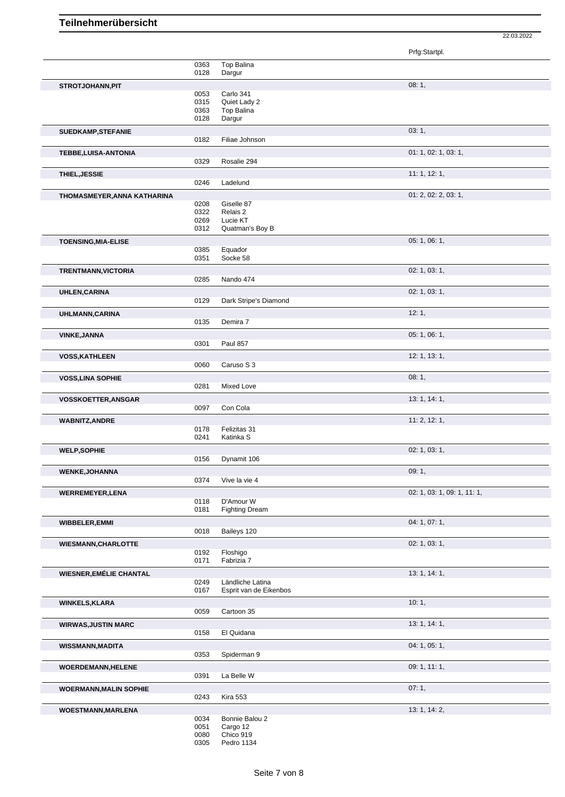Prfg:Startpl. 0363 Top Balina<br>0128 Dargur Dargur **STROTJOHANN,PIT** 08: 1, 0053 Carlo 341 0315 Quiet Lady 2<br>0363 Top Balina Top Balina 0128 Dargur **SUEDKAMP,STEFANIE** 03: 1, Filiae Johnson **TEBBE,LUISA-ANTONIA** 01: 1, 02: 1, 03: 1, 03: 1, 03: 1, 03: 1, 03: 1, 03: 1, 03: 1, 03: 1, 03: 1, 03: 1, 03: 1, 03: 1, 03: 1, 03: 1, 03: 1, 03: 1, 03: 1, 03: 1, 03: 1, 03: 1, 03: 1, 03: 1, 03: 1, 03: 1, 03: 1, 03: 1, 03: Rosalie 294 **THIEL,JESSIE** 11: 1, 12: 1, 0246 Ladelund **THOMASMEYER,ANNA KATHARINA** 01: 2, 02: 2, 03: 1, 0208 Giselle 87<br>0322 Relais 2 0322 Relais 2<br>0269 Lucie KT 0269 Lucie KT<br>0312 Quatman Quatman's Boy B **TOENSING, MIA-ELISE** 0385 Equador 05: 1, 06: 1, 06: 1, 06: 1, 06: 1, 06: 1, 06: 1, 06: 1, 06: 1, 06: 1, 06: 1, 06: 1, 06: 1, 06: 1, 06: 1, 06: 1, 06: 1, 06: 1, 06: 1, 06: 1, 06: 1, 06: 1, 06: 1, 06: 1, 06: 1, 06: 1, 06: 1 Equador 0351 Socke 58 **TRENTMANN, VICTORIA 02: 1, 03: 1,** 03: 1, 03: 1, 03: 1, 03: 1, 03: 1, 03: 1, 03: 1, 03: 1, 03: 1, 03: 1, 03: 1, 03: 1, 03: 1, 03: 1, 03: 1, 03: 1, 03: 1, 03: 1, 03: 1, 03: 1, 03: 1, 03: 1, 03: 1, 03: 1, 03: 1, 03: 1, 03 0285 Nando 474 **UHLEN, CARINA** 02: 1, 03: 1, 03: 1, 03: 1, 03: 1, 03: 1, 03: 1, 03: 1, 03: 1, 03: 1, 03: 1, 03: 1, 03: 1, 03: 1, Dark Stripe's Diamond **UHLMANN,CARINA** 12: 1, Demira 7 **VINKE,JANNA** 05: 1, 06: 1, 0301 Paul 857 **VOSS,KATHLEEN** 12: 1, 13: 1, Caruso S 3 **VOSS,LINA SOPHIE** 08: 1, 0281 Mixed love Mixed Love **VOSSKOETTER,ANSGAR** 13: 1, 14: 1, 0097 Con Cola **WABNITZ,ANDRE** 11: 2, 12: 1, 0178 Felizitas 31 0241 Katinka S **WELP,SOPHIE** 02: 1, 03: 1, 03: 1, 03: 1, 03: 1, 03: 1, 03: 1, 03: 1, 03: 1, 03: 1, 03: 1, 03: 1, 03: 1, 03: 1, 03: 1, 03: 1, 03: 1, 03: 1, 03: 1, 03: 1, 03: 1, 03: 1, 03: 1, 03: 1, 03: 1, 03: 1, 03: 1, 03: 1, 03: 1, 03: 1 Dynamit 106 **WENKE,JOHANNA** 09: 1, 0374 Vive la vie 4 Vive la vie 4 **WERREMEYER,LENA** 02: 1, 03: 1, 09: 1, 11: 1, 0118 D'Amour W<br>0181 Fighting Dre Fighting Dream **WIBBELER, EMMI** 04: 1, 07: 1, 07: 1, 07: 1, 07: 1, 07: 1, 07: 1, 07: 1, 07: 1, 07: 1, 07: 1, 07: 1, 07: 1, 07: 1, 07: 1, 07: 1, 07: 1, 07: 1, 07: 1, 07: 1, 07: 1, 07: 1, 07: 1, 07: 1, 07: 1, 07: 1, 07: 1, 07: 1, 07: 1, 07 Baileys 120 **WIESMANN,CHARLOTTE** 02: 1, 03: 1, 0192 Floshigo<br>0171 Fabrizia Fabrizia 7 **WIESNER,EMÉLIE CHANTAL 13: 1, 14: 1, 14: 1, 14: 1, 14: 1, 14: 1, 14: 1, 14: 1, 14: 1, 14: 1, 14: 1, 14: 1, 14: 1, 14: 1, 14: 1, 14: 1, 14: 1, 14: 1, 14: 1, 14: 1, 14: 1, 14: 1, 14: 1, 14: 1, 14: 1, 14: 1, 14: 1, 14: 1, 14** 0249 Ländliche Latina<br>0167 Esprit van de Eik Esprit van de Eikenbos **WINKELS, KLARA** 10: 1, 20059 **Cartoon 35 Cartoon 35** Cartoon 35 **WIRWAS,JUSTIN MARC** 13: 1, 14: 1, El Quidana **WISSMANN,MADITA** 04: 1, 05: 1, 0353 Spiderman 9 **WOERDEMANN,HELENE** 09: 1, 11: 1, 0391 La Belle W **WOERMANN,MALIN SOPHIE** 07: 1, 0243 Kira 553 **WOESTMANN,MARLENA** 13: 1, 14: 2, Bonnie Balou 2 0051 Cargo 12

<sup>0080</sup> Chico 919 0305 Pedro 1134